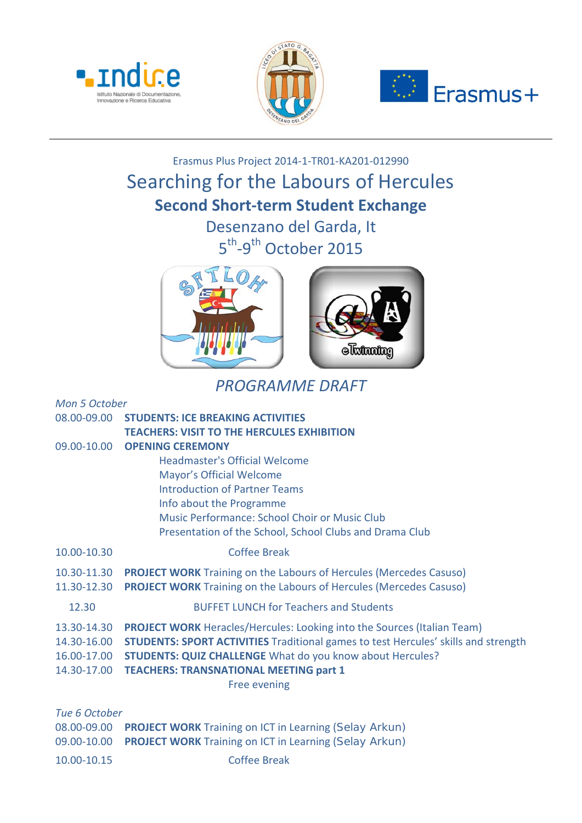





## Erasmus Plus Project 2014-1-TR01-KA201-012990 Searching for the Labours of Hercules **Second Short-term Student Exchange** Desenzano del Garda, It

5<sup>th</sup>-9<sup>th</sup> October 2015



## *PROGRAMME DRAFT*

| Mon 5 October                                                                             |  |  |
|-------------------------------------------------------------------------------------------|--|--|
| <b>STUDENTS: ICE BREAKING ACTIVITIES</b>                                                  |  |  |
| <b>TEACHERS: VISIT TO THE HERCULES EXHIBITION</b>                                         |  |  |
| <b>OPENING CEREMONY</b>                                                                   |  |  |
| <b>Headmaster's Official Welcome</b>                                                      |  |  |
| Mayor's Official Welcome                                                                  |  |  |
| <b>Introduction of Partner Teams</b>                                                      |  |  |
| Info about the Programme                                                                  |  |  |
| Music Performance: School Choir or Music Club                                             |  |  |
| Presentation of the School, School Clubs and Drama Club                                   |  |  |
| <b>Coffee Break</b>                                                                       |  |  |
| <b>PROJECT WORK</b> Training on the Labours of Hercules (Mercedes Casuso)                 |  |  |
| <b>PROJECT WORK</b> Training on the Labours of Hercules (Mercedes Casuso)                 |  |  |
| <b>BUFFET LUNCH for Teachers and Students</b>                                             |  |  |
| <b>PROJECT WORK</b> Heracles/Hercules: Looking into the Sources (Italian Team)            |  |  |
| <b>STUDENTS: SPORT ACTIVITIES</b> Traditional games to test Hercules' skills and strength |  |  |
| <b>STUDENTS: QUIZ CHALLENGE What do you know about Hercules?</b>                          |  |  |
| <b>TEACHERS: TRANSNATIONAL MEETING part 1</b>                                             |  |  |
| <b>Free evening</b>                                                                       |  |  |
|                                                                                           |  |  |
| Tue 6 October                                                                             |  |  |
| <b>PROJECT WORK Training on ICT in Learning (Selay Arkun)</b>                             |  |  |
| <b>PROJECT WORK Training on ICT in Learning (Selay Arkun)</b>                             |  |  |
|                                                                                           |  |  |

10.00-10.15 Coffee Break